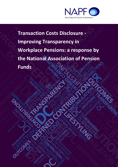

ENC

**Transaction Costs Disclosure - Improving Transparency in Workplace Pensions: a response by the National Association of Pension Funds**

Outch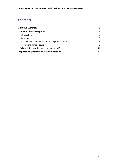# **Contents**

| <b>Executive Summary</b>                           | 3  |
|----------------------------------------------------|----|
| <b>Overview of NAPF response</b>                   | 5  |
| Introduction                                       | 5  |
| Background                                         | 5. |
| Recommended approach to improving transparency     | 6  |
| Frameworks for disclosure                          | 9  |
| Who will find contributions cost data useful?      | 11 |
| <b>Response to specific consultation questions</b> |    |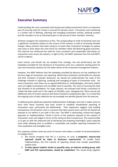

# **Executive Summary**

Understanding the costs associated with buying and selling investments forms an important part of ensuring value for money is secured for pension savers. Transaction cost monitoring is a further tool in defining, selecting and managing investment activity, allowing trustees and IGC members to act as informed buyers in the pursuit of their members' interests.

Schemes recognise the importance of this. The compounding of small incremental costs has a significant cumulative impact on the success of the scheme, as well as increasing member charges. Many schemes have been trying to re-assess their investment strategies to explore new ways to drive down the costs borne by members while still delivering good outcomes. This exercise has reinforced the need for more consistent and comparable information on transaction costs across the industry. In light of this, the NAPF welcomes the FCA and DWP's call for evidence.

Costs cannot, and should not, be isolated from strategy, risk and performance but the templates provided for the disclosure of transaction costs are a welcome starting point for new and innovative solutions for the wider clients of the investment management industry.

However, the NAPF believes that the templates provided by Novarca are too ambitious for the first stage of transaction cost reporting. Whilst there should be real benefits for schemes and their members of greater disclosure, we should not underestimate the scale of the challenge involved in capturing, analysing and managing all types of transaction costs. For many transaction costs there are no agreed definitions or methodologies, and many implicit costs are highly inconsistent and incredibly hard to quantify. The costs of sourcing this data also threaten to be prohibitive. For large schemes, we estimate that hiring a consultant to collate the data could cost in the region of £20,000 a year. Alongside this, there may be the additional costs of trustee resource and those involved in analysing the data. It is crucial that the ongoing costs of data collection do not outweigh any benefits gained from the exercise.

In addressing the significant potential implementation challenges and risks it makes sense to learn from those countries that have strived to establish standardised reporting of transaction costs, particularly the Netherlands. Their experience suggests that building transparency of transaction costs is a process that takes several years and the UK should not attempt to run before it can walk in this area. The NAPF is advocating a tiered and staged approach to implementation; Tiered in terms of the audience exposed to the analysis of transaction costs and staged in terms of the timing of data transparency. This would enable us to get on with the important job of disclosing and analysing meaningful, easily captured costs while allowing time to establish a sustainable and useable reporting framework for more qualitative and intangible costs.

Our response outlines some key areas of concern and makes a number of recommendations to mitigate them:

- **1.** We should recognise that this is a journey. As such, **a pragmatic, step-by-step approach should be taken to disclosure requirements.** To enable faster implementation, the first tranche of reporting should only include quantifiable, explicit costs.
- **2. To help capture implicit, harder to quantify costs, an industry working group, with DWP and FCA representation, should be established.** This would bring together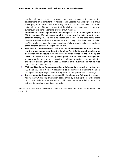pension schemes, insurance providers and asset managers to support the development of a consistent, sustainable and useable methodology. This group would play an important role in ensuring that the costs of data collection do not outweigh the benefits. We envisage that the chair of this group would be an asset owner such as a pension scheme, trustee or IGC member.

- **3. Additional disclosure requirements should be placed on asset managers to enable FCA to intervene if asset managers fail to properly provide data to trustees and other fund managers.** This would help safeguard the quality and consistency of the data disclosed and enables trustees and IGCs to do the job they have been tasked to do. This would also have the added advantage of allowing data to be used by clients of the wider investment management industry.
- **4. Templates for transaction cost disclosure should be developed with DB schemes, and the wider non-pension industry, in mind. The definitions and templates for transaction cost disclosure should be workable for all funded DB and DC workplace pension schemes and for use by wider purchasers of investment management services.** While we are not advocating additional reporting requirements the principle of extending this to funded DB schemes in the future should not be ruled out as part of a tiered approach.
- **5. DWP and FCA should focus on reporting to informed buyers, such as trustees and IGC members.** Transaction cost data should be made available to scheme members on request but reporting to savers is likely to be counter-productive at this stage.
- **6. Transaction costs should not be included in the charge cap following the planned review in 2017.** Capping transaction costs, either by including them in the charge cap or by introducing a separate cap, could incentivise perverse behaviour and be detrimental to scheme members' interests.

Detailed responses to the questions in the call for evidence are set out at the end of this document.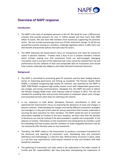

# **Overview of NAPF response**

# **Introduction**

- 1. The NAPF is the voice of workplace pensions in the UK. We speak for over 1,300 pension schemes that provide pensions for over 17 million people and have more than £900 billion of assets. We also have 400 members from businesses supporting the pensions sector. We aim to help everyone get more out of their retirement savings. To do this we spread best practice among our members, challenge regulation where it adds more cost than benefit and promote policies that add value for savers.
- 2. The NAPF welcomes the Government's focus on transparency and value for money for savers in pension schemes. Trustees have a duty to act in scheme members' interest which includes making sure that investment funds are well-managed. Managing transaction costs is one part of this important job. Costs cannot be isolated from risk and performance but the collation of clear and comparable data on transaction costs would help trustees undertake due diligence and make informed investment decisions.

### **Background**

- 3. The NAPF is committed to promoting good DC provision and has been leading industry action on improving governance and driving up standards. The Pension Quality Mark (PQM), a standard recognising high quality DC schemes, was launched by the NAPF in 2009. PQM READY recognises high quality master trusts with independent governance, low charges and strong communications. Alongside this, the NAPF led work to deliver the Pension Charges Made Clear: Joint Industry Code of Conduct in 2012. This sets the standard for providing clear and accurate information to employers about costs, charges and associated services when they are selecting a DC scheme.
- 4. In our responses to both Better Workplace Pensions consultations in 2014, we welcomed the Government's focus on improving the disclosure of costs and charges in pension schemes. Understanding the charges incurred by different investment strategies and managers is a key part of the value for money assessment that trustees undertake in securing the best outcomes for their members. The NAPF noted the lack of consistent information available to trustees in this area. However, we were clear that the benefits of disclosure can only be realised if the data provided is useable and comparable. In the absence of context, information on the investment costs being borne by members could be misleading and lead trustees and IGC members to make misguided decisions that do not necessarily offer the best value on any investment.
- 5. Therefore, the NAPF called on the Government to produce a consistent framework for the disclosure and reporting of transaction costs. Developing clear and consistent definitions and methodology is a vital first step. Without these structures in place, there is a risk that new requirements could expose schemes to new cost burdens with little benefit for members.
- 6. The gathering of transaction cost data needs to be understood in the wider context of trustee and IGC responsibilities. We have long been championing the importance of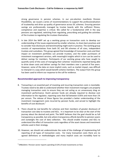strong governance in pension schemes. In our pre-election manifesto *Pension Possibilities,* we issued a series of recommendations to support the professionalisation of trusteeship and drive up quality of governance across DC schemes. Ensuring pension savings are professionally managed by trustee boards with the sufficient fitness, competence and expertise is critical. We called for a fundamental shift in the way pensions are regulated, switching from regulating, prescribing and guiding the activities of the trustees to regulating the trustees themselves.

7. In late 2014 the NAPF set up a working group on transaction costs to develop our understanding of the issues experienced by smaller schemes, to share best practices and to consider how disclosure and benchmarking might work in practice. The working group consists of representatives from both DC and DB schemes of all sizes, independent trustees and custodians. This group agreed that knowledge of transaction costs and their impact on investment portfolios can provide trustees, and the wider purchasers of investment management services, with meaningful insights which in turn can be used to deliver savings for members. Participants of our working group who have sought to quantify some of the costs of managing their schemes' investments reported being able to drive down costs and deliver savings for their members over a period of five years. However, some of the data on more implicit costs, such as market impact, was difficult to interpret in a way which would benefit scheme members. The output from this group has been used to inform our response to the call for evidence.

### **Recommended approach to improving transparency**

- 8. Transacting is an essential part of investing and incurring transaction costs is inevitable. Trustees need to be able to understand whether their investment managers are properly managing transaction costs to ensure they are not acting as an unnecessary drag on investment performance. Dutch pension funds are already required to disclose cost information to the regulator, reporting costs that fall between 0.05% and more than 1% per annum. The release of these figures has provided a better understanding of the investment management costs incurred by pension funds, and served to highlight the benefits of cost disclosure.<sup>1</sup>
- 9. There should be real benefits for schemes and their members of greater disclosure of transaction cost data to trustees and IGCs. It is important to be clear at the start of the journey about the desired end point. The NAPF believes that the goal should be as full transparency as possible, but only where transparency affords benefits to pension savers and outweighs the cost of data collection. This should enable trustees and IGCs to understand the effect of transaction costs regardless of the asset classes and investment vehicles used in their strategy.
- 10. However, we should not underestimate the scale of the challenge of implementing full reporting of all types of transaction costs. For many transaction costs there are no agreed definitions or methodologies and many implicit costs are incredibly hard to

 $\overline{a}$ 

**<sup>1</sup>** DNBulletin: Pension sector reports spending 0.53% of total investments on fees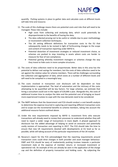

quantify. Putting systems in place to gather data and calculate costs at different levels will take time and resource.

- 11. The scale of this challenge means there are potential costs and risks that will need to be managed. These risks include:
	- High costs from collecting and analysing data, which could potentially be disproportionate to the benefits of having the data;
	- The data collected proving not to be useful or reliable due to poor methodology or inconsistent collection techniques;
	- The UK setting different definitions for transaction costs to the EU that subsequently needs to be revised in light of forthcoming changes to the scope and content of transaction reporting under MiFID II;
	- Potential distortion of investment strategies or reduced investment choice, as schemes are pushed to stop investing in assets where costs are harder to measure for fear of non-compliance;
	- Potential gaming whereby investment managers or schemes change the way they invest to hide costs in more complex structures.
- 12. The costs of data collection need to be proportionate. Better data in this area has the potential to deliver real savings for members, but the costs of data collection need to be set against the relative value for scheme members. There will be challenges surrounding the collection and aggregation of data, which exists at a number of different levels and will need to be compiled in a meaningful way.
- 13. The costs involved in transaction cost disclosure will be dependent on how implementation is approached. The level of automation and the intricacy of the costs attempting to be quantified will be key factors. For large schemes, we estimate that hiring a consultant could cost in the region of £20,000 a year. Alongside this, the costs of additional trustee time to analyse the data and the potential cost of bringing on board more experienced trustees to cope with the new demands need to be considered.
- 14. The NAPF believes that the Government and FCA should conduct a cost benefit analysis to determine the expense incurred in capturing and reporting different transaction costs and to scope out the incremental benefits to scheme members, taking into account the additional resource factors outlined above.
- 15. Under the new requirements imposed by MiFID II, investment firms who execute transactions will already need to review their processes to understand whether they will need to report a wider range of transactions in more depth. A phased approach to disclosure has the added advantage of helping to avoid an excessive and potentially costly revision of transaction cost reporting in 2017. The FCA should take the time to ensure that new UK requirements dovetail with developments at EU level as far as possible, while still taking account of the particular requirements of the UK market.
- 16. Novarca's report for the FCA acknowledged that the reporting requirements around transaction costs could drive changes in both provider and asset manager behaviour. DWP and FCA should be wary of inadvertently pushing trustees towards a particular investment style at the expense of member returns or increased investment or operational risk. An example of this can already be seen in the application of the charge cap and the definition of property transaction and holding costs. By subjecting the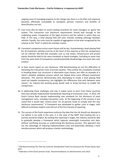ongoing costs of managing property to the charge cap, there is a risk that such exposure becomes effectively unavailable to workplace pension investors and benefits of diversification are lost.

- 17. Care must also be taken to avoid creating incentives for asset managers to 'game' the system. The transaction cost disclosure requirements should look through to the underlying assets, irrespective of the legal structure and the vehicle in which they are held. In this way, a level playing field will exist, thereby avoiding arbitrage between vehicles. Equally, the costs must be capable of aggregation to the level recognized by the scheme as the "kind" in which the member invests.
- 18. Consistent comparison across asset classes will be key. Guaranteeing a level playing field for all investment vehicles must be at the heart of this exercise so that fair comparisons can be inferred. We feel that examples such as real estate, infrastructure and private equity should be held to the same standards as liquid strategies. Excluding an asset class from the same level of transparency would potentially disadvantage one asset class over another.
- 19. In their recent report on cost disclosure, CEM Benchmarking set out the difficulties of disclosing the transaction costs of private equities. They outline the complexity involved in breaking down cost structures in alternative asset classes, but offer an example of a client's detailed validation process which has helped drive more efficient investment allocation. This exercise demonstrates that attempting to create a level playing field need not impede transparency, but highlights the differences that exist between asset classes.<sup>2</sup> An industry-led working group would seek to bring harmony to enable fair comparisons.
- 20. In addressing these challenges and risks it makes sense to learn from those countries that have already implemented standardised reporting of transaction costs. In 2012, the Dutch Central Bank started implementing new standards for the disclosure of asset management costs, including transaction costs. At the beginning of this process it was noted that it would take 'several years' for all pension funds to comply with the new disclosure requirements.<sup>3</sup> A framework was developed to gather costs in stages, with difficult to disclose implicit costs left out of the first tranche of reporting.
- 21. The success of the Dutch experience enforces the idea that the UK should not attempt to run before it can walk in this area. It is the view of the NAPF that treating this as a journey would be helpful. By tackling the reporting in stages, the industry would be able to gradually develop a framework which captures meaningful transaction cost data, without sacrificing accuracy or undermining the disclosure process. This approach also has the advantage of reducing implementation costs and potentially allowing a more iterative process which will produce a better methodology.

 $\overline{a}$ 

<sup>2</sup> CEM Benchmarking *The Time has Come for Standardized Total Cost Disclosure for Private Equity* April 2015

 $3$  Federation of the Dutch pension funds, 'Recommendations on administrative costs 2012'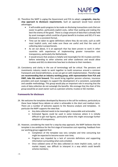

- 22. Therefore the NAPF is urging the Government and FCA to adopt a **pragmatic, step-bystep approach to disclosure requirements.** Such an approach would have several advantages:
	- It will enable quick progress to be made on disclosing transactions costs that are easier to gather, particularly explicit costs, rather than waiting and making the best the enemy of the good. There is a large amount of data that is already held by asset managers which could be of great benefit to trustees and IGCs if it was disclosed in a consistent format.
	- Time can be taken to agree definitions where they do not exist, such as with most implicit costs, and make sure these are useful and that the costs of collecting data is proportionate.
	- As set out above, it is an approach that has been proven to work in other countries with experiences of implementing greater transaction cost transparency, particularly the Netherlands.
	- It would ensure that analysis is helpful and meaningful for DC trustees and IGCs before extending to other schemes and other audiences and would allow trustees and IGCs to determine how best to disclose to their members.
- 23. Consistency and clarity in the use of terminology will be critical. The pensions and investments industry needs to work together to build consensus around a common framework and shared definitions, so we can get on with implementation. Therefore **we are recommending that an industry working group, with representation from FCA and DWP, take this work forward.** This would bring together pension schemes, insurance providers and asset managers to support the development of a consistent, sustainable and useable methodology. This group would play an important role in ensuring that the costs of data collection do not outweigh the benefits. We envisage that the chair of this group would be an asset owner such as a pension scheme, trustee or IGC member.

#### **Frameworks for disclosure**

- 24. We welcome the templates developed by Novarca in the call for evidence, particularly as these have helped focus debate on what is achievable in the short and medium term. There are a number of welcome aspects to the Novarca analysis and templates. In particular the NAPF supports the view that:
	- Any data collected needs to be meaningful, measurable and actionable;
	- Estimated figures could be used in some instances where it is initially difficult to get real figures, particularly where this might encourage further adoption of transparency.
- 25. However, considering the need for a step-by-step approach, the NAPF believes that the template is too ambitious for the first stage of transaction cost reporting. Feedback from our working group suggested that:
	- Completion of the template was very complex and time consuming but might be expected to become easier over time;
	- Progress was impeded by a lack of concrete definitions and supporting information surrounding what costs entailed;
	- Once collated some of the data collected on more implicit costs, such as market impact, was difficult to interpret in a way which could benefit scheme members;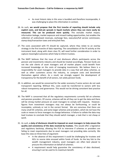- As most historic data in this area is bundled and therefore incomparable, it was challenging to place this information in context;
- 26. As such, **we would propose that the first tranche of reporting should include only explicit costs, and bid-ask spreads in liquid markets where they can more easily be measured. This can be produced more quickly.** This excludes market impact, information leakage, market exposure and missed trading opportunities, but enables the collection of undisclosed revenues, exchange fees, execution/full service commission, stamp duty/transaction taxes and entry/exit fees.
- 27. The costs associated with FX should be captured, where they relate to an overlay strategy in the first tranche of data reporting. The consolidation of the FX activity at the instrument level, along with share class FX, will need further consideration in order to capture meaningful outcomes which help to inform trustees.
- 28. The NAPF believes that the issue of cost disclosure affects participants across the pension and investments industry and should be treated accordingly. Pension funds are not the sole clients of asset managers and all market players could benefit from increased knowledge on the costs of managing investments. We believe there is a responsibility for asset managers to provide data in a way that will allow schemes, as well as other customers across the industry, to compare costs and benchmark themselves against others. As a result, we strongly support the development of transparency for the benefit of all sectors, not solely pension funds.
- 29. In addition, we would be concerned for the wider economy if some sectors do not seek transparent reporting. Without this, costs could be transferred to sectors with less robust transparency and governance. This would not be driving consistent best practice for all.
- 30. The NAPF is concerned that all the regulatory requirements currently fall on schemes and pension providers. Of course, schemes will do all they can to get the data and there will be strong market pressure on asset managers to comply with requests. However, figures from investment managers may not always be forthcoming, or could be incomplete, untimely or not in the correct format. We are conscious that there are many small DC schemes, and some larger schemes and providers, which do not have the scale or means to force managers to change behaviour. A failure to collate the data may lead trustees to conclude that they should switch manager, a task that is not cheap or quick.
- 31. As such, **a duty of disclosure should be imposed on asset managers to help ensure the quality and consistency of the data received by trustees.** This would offer a legislative and regulatory backstop, allowing the FCA to intervene if schemes or providers are failing to meet requirements due to asset managers not providing data correctly. We base this view on three lines of argument:
	- In the absence of this requirement it could be challenging for trustees and IGCs to source data encased within funds of funds. As the key link to the wealth management industry, asset managers are often best placed to procure this information on behalf of schemes.
	- A requirement would help guarantee the consistency of data disclosed, ensuring it can be used to its maximum benefit.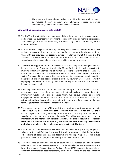

 The administrative complexity involved in auditing the data produced would be reduced if asset managers were ultimately required to provide independently audited cost data to trustees and IGCs.

# **Who will find transaction costs data useful?**

- 32. The NAPF believes that the primary purpose of these data should be to provide informed and professional purchasers of investment services with tools to improve transparency and knowledge of the investments they are undertaking. This will extend beyond the pensions industry.
- 33. In the context of the pensions industry, this will provide trustees and IGCs with the tools to better manage their members' investments. Transaction cost data is only useful to those with the knowledge or access to advice to understand what it means, and the ability to take action. We want to ensure that transaction cost data can be presented in ways that can be meaningfully benchmarked and interpreted by trustees.
- 34. The NAPF has supported the role of Pension Wise in delivering retirement guidance and been calling on the Government to give the Money Advice Service a clear objective to improve consumer understanding of retirement options, ensuring that the necessary information and education is delivered in close partnership with experts across the sector. Savers need to be equipped to make retirement decisions and to understand the benefits and risks of the options available to them. However, we do not believe that supplying transaction cost data by default would help to further this aim, and could indeed run counter to it.
- 35. Providing savers with this information without placing it in the context of risk and performance could lead them to make sub-optimal decisions. More likely, the information would baffle and disengage them. We believe efforts to promote engagement would be better focused on topics such as contribution levels and retirement options; issues which resonate with savers and have come to the fore following automatic enrolment and Freedom & Choice.
- 36. Therefore, at this stage, the NAPF would strongly caution against any requirements to disclose routinely transaction costs data to scheme members. Trustee and IGC chairs will be obliged to set out high-level figures on transaction costs as part of their work on securing value for money in their annual reports. This will ensure transparency and any members who are interested in transaction costs will be able to request these reports. **DWP and FCA should focus on reporting to trustees and IGCs. Reporting to consumers and scheme members is likely to be counter-productive at this stage.**
- 37. Information on transaction costs will be of use to market participants beyond pension scheme trustees and IGCs. Moving forward, it would be appropriate that the interests of other clients of asset managers are factored into the reporting. These will include platforms, wealth managers, insurance companies and multi-managers.
- 38. The NAPF believes that data will be of equal value to trustees of Defined Benefit schemes as to trustees overseeing Defined Contribution schemes. We are aware that the Local Government Pension Scheme Advisory Board (SAB) supports in principle an extension of transaction cost transparency to the LGPS. While we are not advocating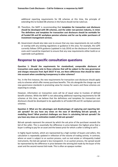additional reporting requirements for DB schemes at this time, the principle of extending this to funded DB schemes in the future should not be ruled out.

- 39. Therefore, the NAPF is recommending that **templates for transaction cost disclosure should be developed with DB schemes, and the wider non-pension industry, in mind. The definitions and templates for transaction cost disclosure should be workable for all funded DB and DC workplace pension schemes and for use by wider purchasers of investment management services.**
- 40. Government should also take care to ensure that any new requirements do not conflict or overlap with any existing regulations or guidance in this area. For example, the LGPS currently follows CIPFA guidance (updated in July 2014) on the disclosure of investment costs and it would be important to ensure that any new requirements either build on or supersede such guidance.

# **Response to specific consultation questions**

**Question 1: Should the requirements for standardised, comparable disclosure of transaction costs apply only to those schemes that will be subject to the new governance and charges measures from April 2015? If not, are there differences that should be taken into account when considering transparency in other schemes?** 

Yes. In the first instance, the new requirements for transaction cost disclosure should apply only to schemes which offer money purchase benefits. This sits alongside the charge cap and new governance standards in promoting value for money for savers and these schemes are expecting to comply.

However, information on transaction costs will be of equal value to trustees of defined benefit schemes. While the NAPF is not advocating additional reporting requirements for DB schemes at this time, we believe that the definitions and templates for transaction cost disclosure should be developed to be applicable to all funded DB and DC workplace pension schemes.

**Question 2: What are the advantages and disadvantages of capturing and reporting bidask spreads? Do you have any views on the ease of identifying bid-ask spreads, or modelling them? What practical challenges are there in calculating bid-ask spreads? Do you have any views on estimation models of bid-ask spreads?** 

Bid-ask spreads represent the amount by which the ask price of the purchaser exceeds the bid of the seller. This is essentially the difference in price between the highest price that a buyer is willing to pay for an asset and the lowest price for which a seller is willing to sell it.

In highly liquid markets, which are represented by a high number of buyers and sellers, this calculation is repeatedly updated in reflection of the volume of trading activity. In contrast, where an asset is subject to an auction process, such as real estate or infrequently traded instruments, the bid-ask spread is less transparent. In an auction process, the spread would be represented by the difference in price between the winning bid made by the buyer of the asset and the second nearest bid made. This is often an opaque number.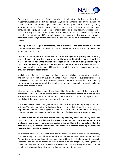

Our members report a range of providers who seek to identify bid-ask spread data. These range from custodians, market data consultants, brokers and technology providers, including market data providers. These organisations take different approaches to processing trading information and therefore the subsequent outputs. It has been recognised that some large consultancies employ extensive teams to model less liquid trading activity, whereas smaller consultancy organisations adopt a less quantitative approach. This results in significant deviations in outputs and different opinions over the value resulting. Our members seek a consistent methodology for the analysis of bid-ask spreads, which is consistent across asset classes.

The impact of the range in transparency and availability of the data results in different methodologies needing to be applied in order to calculate it. As such, the ability to compare across asset classes is weak.

**Question 3: What are the advantages and disadvantages of capturing and reporting market impact? Do you have any views on the ease of identifying market identifying market impact costs? What practical challenges are there in calculating market impact costs? Do you have any views on the possible estimation models of market impact? Do you have any views on the availability of these models, their consistency, and the costs providers charge to access them?** 

Implicit transaction costs, such as market impact, are very challenging to capture in a robust and comparable format. High quality estimates of market impact are available from brokers or specialist transaction cost analysis firms. However, there is a risk that the cost of sourcing this information would outweigh the benefits for members, especially for smaller schemes without the benefit of scale.

Members of our working group who collated this information reported that it was often difficult to see how it could be used to benefit scheme members. Moreover, if implicit costs are reported there is the potential for reportable transaction costs to be negative, which could distort the overall picture of costs borne by members.

The NAPF believes such intangible costs should be exempt from reporting in the first instance. We note that in the Netherlands these costs were initially omitted from reporting requirements and we would suggest that time is taken to agree definitions where they do not exist to make sure these are useful and the costs of collecting data is proportionate.

**Question 4: Do you believe that missed trade "opportunity costs" and "delay costs" are transaction costs? Do you believe that there is merit in reporting them as part of the disclosure regime and in governance bodies reviewing them? Do you believe that the practical issues, for example around the subjective nature of some of the inputs needed to calculate them could be addressed?** 

As discussed above, it is our view that implicit costs, including missed trade opportunity costs and delay costs, should be excluded from the new reporting requirements initially. Attempting to capture and quantify too many intangible costs in the first round threatens to undermine the disclosure process and could result in missed targets. By treating this as a phased journey, we can ensure value is achieved today by capturing information of real benefit to trustees, and work towards further improvement tomorrow.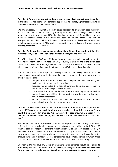# **Question 5: Do you have any further thoughts on the analysis of transaction costs outlined in this chapter? Are there any alternative approaches to identifying transaction costs, or other considerations to take into account?**

We are advocating a pragmatic, stage-by-stage approach to transaction cost disclosure. Focus should initially be centred on gathering data from asset managers which offers immediate insight for trustees and IGCs, helping them better act as informed buyers in their members' interest. Once this bedrock has been established, other costs may be incorporated into the disclosure framework as consensus is developed around their definition and measurement. This would be supported by an industry-led working group, with input from the DWP and FCA.

#### **Question 6: Do you have any comments about the different frameworks within which information might be reported and their respective strengths and weaknesses?**

The NAPF believes that DWP and FCA should focus on providing templates which capture the most helpful information for trustees and IGCs, as quickly as possible and at the lowest cost. As discussed above, there are large amounts of data that are already held by asset managers which could be of immediate benefit to trustees and IGCs if reported consistently.

It is our view that, while helpful in focusing attention and fuelling debate, Novarca's templates are too complex for the first round of cost reporting. Feedback from our working group suggested that:

- Completion of the template was very complex and time consuming but might expect to become easier over time;
- Progress was impeded by a lack of concrete definitions and supporting information surrounding what costs entailed;
- Once collated some of the data collected on more implicit costs, such as market impact, was difficult to interpret and use in a way which would benefit scheme members;
- As most historic data in this area is bundled and therefore incomparable, it was challenging to place this information in context;

# **Question 7: How should transaction costs incurred at product level be captured and reported? Would there be merit in splitting out costs incurred for different reasons? How could this be achieved in practice? Are there any other costs incurred at a product level that are not administration charges, and that could potentially be considered transaction costs?**

We consider that the future success of transaction reporting will not distinguish between different levels in the value chain. Common products and services utilised by both DC and DB schemes seek to amalgamate different investment strategies and asset classes together, in examples such as Diversified Growth Funds [known as 'DGF']. In order to report to a scheme, these products would need to consolidate reporting at the asset class level, as well as at the product level and ultimately at the consolidator level. Distinguishing between these products, asset classes or funds will limit the outcomes and trust in the reporting.

**Question 8: Do you have any views on whether pension schemes should be required to look through to the transaction costs of all listed, exchange-traded investment schemes? Do you have any particular comments on how the transaction costs incurred by property,**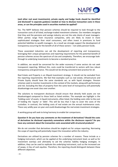

# **(and other real asset investments), private equity and hedge funds should be identified and disclosed? Is separate guidance needed on how to disclose transaction costs in these areas, or can the principles used in securities markets be applied?**

Yes. The NAPF believes that pension schemes should be required to look through to the transaction costs of all listed, exchange-traded investment schemes. Our members recognise that they and the pensions and savings industry are not the sole clients of asset managers. Other parties range from insurance companies, who are likely to invest in more sophisticated strategies than retail consumers, and often invest in premiums to fund potential liabilities to wealth managers. As a result we strongly support the development of transparency occurring for the benefit of all of these sectors – not solely pension funds.

These associated industries can aid the development of reporting and transparency; leveraging their unique perspectives and reporting requirements for the potential benefit of pension schemes across the spectrum of size and complexity. Therefore, we encourage lookthrough to underlying investments to become a standard practice.

In addition, we would be concerned for the wider economy if some sectors do not seek transparent reporting. Without this, costs could be transferred to sectors with less robust transparency and governance. This would not be driving consistent best practice for all.

Real Estate and Property is an illiquid investment strategy. It should not be excluded from the reporting requirements. We feel that examples such as real estate, infrastructure and Private Equity should have the same standards set, as with liquid strategies. Pension schemes seek to monitor investments in the context of the markets, along with performance and risk. Excluding the likes of property from the same level of transparency will potentially disadvantage one asset class over another.

The solutions to transparent disclosure should ensure that directly held assets are not disadvantaged compared to those held as listed entities. The example we highlight is the 'holding costs' of assets. In liquid instruments, often listed, the holding costs refer to the cost of holding the 'equity' or 'debt'. This will be less than 5 bps to cover the costs of the custodian. In contrast, the holding costs of real estate are the annual maintenance costs. These vary wildly year-on-year and could disadvantage the real estate investment strategies.

A working group will seek to bring harmony to enable fair comparisons.

#### **Question 9: Do you have any comments on the treatment of derivatives? Should the costs of derivatives be disclosed separately somewhere within the disclosure reports? Do you have any comment about the transaction costs associated with structured products?**

We do not consider that derivatives should be singled out for unique reporting. Narrowing the scope of reporting will potentially impact the innovation within the industry.

Derivatives are utilised by pension schemes for a number of reasons. These include as a hedging instrument, which can be applied at the underlying instrument level, as well as for investment overlays and ultimately to aid the schemes liability hedging strategies. In addition, they can be used to replicate the underlying instrument, such as the increased use of swaps, in lieu of cash equities. Therefore, the reporting should distinguish between these different objectives.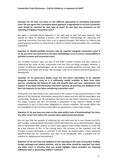# **Question 10: Do have any views on the different approaches to calculating transaction costs? Do you agree that a principles-based approach is appropriate to set how transaction costs should be reported for each type of asset? Do you have any comments on the reporting of negative transaction costs?**

We agree a principles-based approach is the right way to take this work forward. Time should be taken to develop a precise and consistent methodology for capturing and reporting transaction cost data from a set of agreed principles. We believe an industry-led working group would be an ideal forum in which to convert these principles into a workable framework.

### **Question 11: Should portfolio turnover rates be reported alongside transaction costs? If so, do you have any comments on the best methodology to use to ensure comparability of portfolio turnover and transaction costs?**

Yes. Portfolio turnover rates are part of the wider context trustees and IGCs require to understand the value of their investments and how they are being managed. However, a number of different methodologies can be used to calculate portfolio turnover rates, and consistency and clarity will be key. We envisage a role for an industry-led working group to develop this.

**Question 12: Do governance bodies need risk and return information to be reported alongside transaction costs, or is it sufficiently readily available to them from other sources, considering the balance of costs and benefits that such new requirements may impose? If you think risk information should be reported, do you have any feedback on the best risk measures to use when considering transaction costs?**

Transaction cost data needs to be understood in the context of risk and performance. In the absence of this backdrop, information received by trustees and IGCs will be meaningless and inactionable. However, we do not believe that extra risk and return reporting is required at this stage. Trustees and IGCs are already in possession of the relevant context of their investments as part of their wider obligations to scheme members. We would advise that the availability of risk and return information for governance is kept under review.

### **Question 13: Do you have any views on the value and/or costs of benchmarking? Are there any other issues to be taken into account when exploring benchmarking?**

We are clear that the purpose of collecting this cost data must be to arm trustees and IGCs with useable, contextualised information which will help them act as informed buyers. Being able to benchmark their scheme or fund's costs against other similar schemes or funds will be a key element of this. In the coming years, the accuracy of the reported costs will increase as more information is received. In the future, we would expect a more advanced benchmarking tool for transaction cost data to be introduced, with a possible role for industry for updating and maintaining it.

**Question 14: Do you have any feedback on the reporting of the costs of securities lending, foreign exchange and related activities, and on how these should be reported? Are there any other areas or practices that you would highlight where providers are imposing additional costs or generating "hidden" revenues?**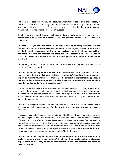

The costs associated with FX should be captured, where they relate to an overlay strategy in the first tranche of data reporting. The consolidation of the FX activity at the instrument level, along with share class FX, will need further consideration in order to capture meaningful outcomes which help to inform trustees.

Activity undertaken by third parties, such as custodians, administrators, consultants or prime brokers should be reported to trustees based on the principals set out for transaction costs disclosures.

**Question 15: Do you have any comments on the practical issues with presenting costs and charges information? Do you have any comments on the degree of standardisation that will both enable governance bodies to take decisions on their scheme and achieve comparability across the market? Are there any other factors in the presentation of transaction costs in a report that would enable governance bodies to make better decisions?**

Our working group did not discuss this issue, but the NAPF would agree that it needs to be considered and progressed.

**Question 16: Do you agree with the use of portfolio turnover rates and unit transaction costs to enable better prediction of likely transaction costs? Should providers be required to provide reasons if turnover rates are likely to be different in the forthcoming period? Is there any other information that would enable the governance body or scheme members to understand potential future transaction costs?** 

The NAPF does not believe that providers should be compelled to provide justification for periods where turnover rates do not match predictions. As best practice investment managers should provide context and narrative to support the data, but we feel that an additional requirement in this area would be unhelpful and risk straying into the territory of speculative commentary.

# **Question 17: Do you have any comments on whether a transaction cost disclosure regime will have any other consequences for the way that pension schemes and their agents transact?**

Transaction cost data should serve as an additional tool to help trustees be better informed when making investment and procurement decisions on behalf of their members. Disclosure of these costs is therefore a positive development. However, we strongly feel that capping transaction costs, either by including them in the charge cap or by introducing a separate cap, would be detrimental to scheme members' interests. Such a cap could incentivise perverse behaviour, leading asset managers to make investment decisions on the basis of regulatory compliance, not on promoting members' best interests.

**Question 18: Should regulations and rules on transaction cost disclosure only directly apply to pension providers and trustees? If not, on whom would additional disclosure requirements be necessary to ensure that transaction costs are reported accurately to relevant people?**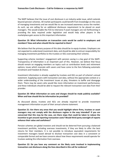The NAPF believes that the issue of cost disclosure is an industry-wide issue, which extends beyond pension schemes. All market participants could benefit from knowledge on the costs of managing investments and we would like to see increased awareness across the market. As such, we are calling for an additional disclosure requirement to be placed on asset managers. This would enable the FCA to intervene if asset managers are not forthcoming in providing the data required under legislation and would help other players in the marketplace gain access to this important information.

## **Question 19: What information on transaction costs would be useful to employers and members? How and when should this be reported to them?**

We believe that the primary purpose of this data should be to equip trustees. Employers are not expected to understand investment data, and should be able to entrust responsibility for managing investment portfolios to the trustees or IGCs overseeing their scheme.

Supporting scheme members' engagement with pension saving is a key goal of the NAPF. Transparency of information is an important part of this. However, we believe that focus should remain on engaging members on topics such as contribution levels and retirement options; issues which resonate with savers and have come to the fore following automatic enrolment and Freedom & Choice.

Investment information is already supplied by trustees and IGCs as part of scheme's annual statement. Supplying savers with transaction cost data, without the appropriate context or a wider understanding of the investment issues at play, threatens to baffle and disengage them. There may be savers who would like more information on investment performance, and these individuals should be able to request the relevant transaction cost data from their provider.

### **Question 20: What information on costs and charges should be made publicly available? When and how should this be information be provided?**

As discussed above, trustees and IGCs are already required to provide investment management information as part of their annual scheme statement.

**Question 21: Are there any areas that you would highlight where firms, trustees or asset managers may not comply with the disclosure regime in the way intended? If you are concerned that this may be the case, are there steps that could be taken to reduce the incentive to get around reporting transaction costs? Would third-party oversight of reports enhance their value and usefulness?** 

Pension schemes are global investors and should not be deterred from pursuing a balanced investment portfolio, including overseas investments, if they are likely to offer the best returns for their members. It is not possible to introduce equivalent requirements for investment managers based abroad to disclose transaction cost data in a consistent or comparable format and we have concerns about how these requirements would operate for trustees seeking this information from overseas.

**Question 22: Do you have any comment on the likely costs involved in implementing transaction cost disclosure along the lines described in this call for evidence?**